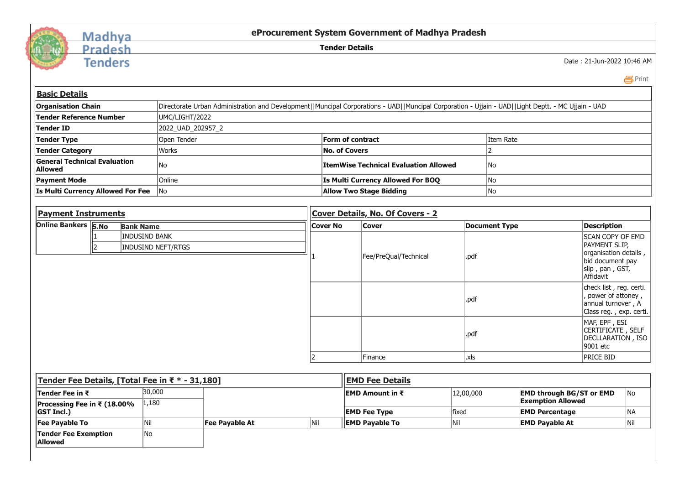

## Madhya<br>Pradesh

**Tenders** 

**eProcurement System Government of Madhya Pradesh**

**Tender Details**

Date : 21-Jun-2022 10:46 AM

Print

| <b>Basic Details</b>                                                                  |                                                                                                                                 |                  |                                                                                                                                                    |  |                 |                                              |                                   |           |                      |                                                                                                          |                                                                                 |  |
|---------------------------------------------------------------------------------------|---------------------------------------------------------------------------------------------------------------------------------|------------------|----------------------------------------------------------------------------------------------------------------------------------------------------|--|-----------------|----------------------------------------------|-----------------------------------|-----------|----------------------|----------------------------------------------------------------------------------------------------------|---------------------------------------------------------------------------------|--|
| <b>Organisation Chain</b>                                                             |                                                                                                                                 |                  | Directorate Urban Administration and Development  Muncipal Corporations - UAD  Muncipal Corporation - Ujjain - UAD  Light Deptt. - MC Ujjain - UAD |  |                 |                                              |                                   |           |                      |                                                                                                          |                                                                                 |  |
| <b>Tender Reference Number</b><br>UMC/LIGHT/2022                                      |                                                                                                                                 |                  |                                                                                                                                                    |  |                 |                                              |                                   |           |                      |                                                                                                          |                                                                                 |  |
| Tender ID<br>2022_UAD_202957_2                                                        |                                                                                                                                 |                  |                                                                                                                                                    |  |                 |                                              |                                   |           |                      |                                                                                                          |                                                                                 |  |
| Open Tender<br><b>Tender Type</b>                                                     |                                                                                                                                 |                  |                                                                                                                                                    |  |                 | <b>Form of contract</b>                      |                                   | Item Rate |                      |                                                                                                          |                                                                                 |  |
| <b>Tender Category</b>                                                                |                                                                                                                                 |                  | Works                                                                                                                                              |  |                 | <b>No. of Covers</b>                         |                                   |           |                      |                                                                                                          |                                                                                 |  |
| <b>General Technical Evaluation</b><br><b>Allowed</b>                                 |                                                                                                                                 |                  | No                                                                                                                                                 |  |                 | <b>ItemWise Technical Evaluation Allowed</b> |                                   |           | lNo                  |                                                                                                          |                                                                                 |  |
| <b>Payment Mode</b>                                                                   |                                                                                                                                 |                  | Online                                                                                                                                             |  |                 |                                              | Is Multi Currency Allowed For BOQ |           | No                   |                                                                                                          |                                                                                 |  |
| Is Multi Currency Allowed For Fee                                                     |                                                                                                                                 |                  | No                                                                                                                                                 |  |                 |                                              | <b>Allow Two Stage Bidding</b>    |           | No                   |                                                                                                          |                                                                                 |  |
|                                                                                       |                                                                                                                                 |                  |                                                                                                                                                    |  |                 |                                              |                                   |           |                      |                                                                                                          |                                                                                 |  |
| <b>Payment Instruments</b>                                                            |                                                                                                                                 |                  |                                                                                                                                                    |  |                 | Cover Details, No. Of Covers - 2             |                                   |           |                      |                                                                                                          |                                                                                 |  |
| <b>Online Bankers S.No</b><br><b>INDUSIND BANK</b><br><b>INDUSIND NEFT/RTGS</b><br>I2 |                                                                                                                                 | <b>Bank Name</b> |                                                                                                                                                    |  | <b>Cover No</b> |                                              | <b>Cover</b>                      |           | <b>Document Type</b> |                                                                                                          | <b>Description</b>                                                              |  |
|                                                                                       |                                                                                                                                 |                  |                                                                                                                                                    |  |                 | Fee/PreQual/Technical                        | .pdf                              |           |                      | <b>SCAN COPY OF EMD</b><br>PAYMENT SLIP,<br>organisation details,<br>bid document pay<br>slip, pan, GST, |                                                                                 |  |
|                                                                                       |                                                                                                                                 |                  |                                                                                                                                                    |  |                 |                                              |                                   | .pdf      |                      |                                                                                                          | Affidavit<br>check list, reg. certi.<br>power of attoney,<br>annual turnover, A |  |
|                                                                                       |                                                                                                                                 |                  |                                                                                                                                                    |  |                 |                                              |                                   |           |                      |                                                                                                          | Class reg., exp. certi.                                                         |  |
|                                                                                       |                                                                                                                                 |                  |                                                                                                                                                    |  |                 |                                              |                                   | .pdf      |                      |                                                                                                          | MAF, EPF, ESI<br>CERTIFICATE, SELF<br>DECLLARATION, ISO<br>9001 etc             |  |
|                                                                                       |                                                                                                                                 |                  |                                                                                                                                                    |  | $\mathcal{P}$   |                                              | Finance                           | .xls      |                      |                                                                                                          | <b>PRICE BID</b>                                                                |  |
|                                                                                       |                                                                                                                                 |                  |                                                                                                                                                    |  |                 |                                              |                                   |           |                      |                                                                                                          |                                                                                 |  |
| Tender Fee Details, [Total Fee in ₹ * - 31,180]<br><b>EMD Fee Details</b>             |                                                                                                                                 |                  |                                                                                                                                                    |  |                 |                                              |                                   |           |                      |                                                                                                          |                                                                                 |  |
|                                                                                       | 30.000<br>120000<br>$\mathsf{In}_{\mathsf{A}}$<br><b>FMD Amount in ₹</b><br><b>FMD through RG/ST or FMD</b><br>lTender Fee in ₹ |                  |                                                                                                                                                    |  |                 |                                              |                                   |           |                      |                                                                                                          |                                                                                 |  |

| Tenger Fee Details, Frotai Fee In K + - 31,100 F |        |                | I EMD FEE DELAIIS |                         |           |                                 |     |  |  |
|--------------------------------------------------|--------|----------------|-------------------|-------------------------|-----------|---------------------------------|-----|--|--|
| <b>Tender Fee in ₹</b>                           | 30,000 |                |                   | <b>IEMD Amount in ₹</b> | 12,00,000 | <b>EMD through BG/ST or EMD</b> | No  |  |  |
| <b>Processing Fee in ₹ (18.00%</b>               | 1,180  |                |                   |                         |           | <b>Exemption Allowed</b>        |     |  |  |
| <b>GST Incl.)</b>                                |        |                |                   | <b>EMD Fee Type</b>     | lfixed    | <b>EMD Percentage</b>           | 'NA |  |  |
| <b>Fee Payable To</b>                            |        | Fee Pavable At | <b>Nil</b>        | llEMD Pavable To        |           | <b>EMD Pavable At</b>           | Nil |  |  |
| Tender Fee Exemption<br><b>Allowed</b>           | lNo    |                |                   |                         |           |                                 |     |  |  |